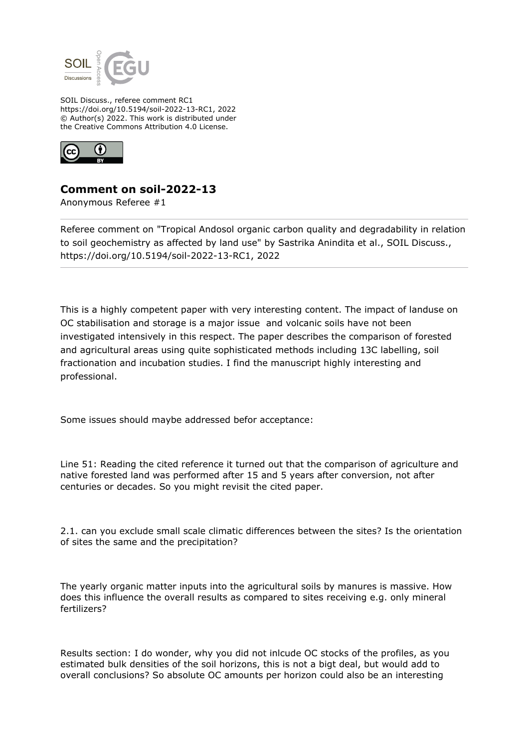

SOIL Discuss., referee comment RC1 https://doi.org/10.5194/soil-2022-13-RC1, 2022 © Author(s) 2022. This work is distributed under the Creative Commons Attribution 4.0 License.



## **Comment on soil-2022-13**

Anonymous Referee #1

Referee comment on "Tropical Andosol organic carbon quality and degradability in relation to soil geochemistry as affected by land use" by Sastrika Anindita et al., SOIL Discuss., https://doi.org/10.5194/soil-2022-13-RC1, 2022

This is a highly competent paper with very interesting content. The impact of landuse on OC stabilisation and storage is a major issue and volcanic soils have not been investigated intensively in this respect. The paper describes the comparison of forested and agricultural areas using quite sophisticated methods including 13C labelling, soil fractionation and incubation studies. I find the manuscript highly interesting and professional.

Some issues should maybe addressed befor acceptance:

Line 51: Reading the cited reference it turned out that the comparison of agriculture and native forested land was performed after 15 and 5 years after conversion, not after centuries or decades. So you might revisit the cited paper.

2.1. can you exclude small scale climatic differences between the sites? Is the orientation of sites the same and the precipitation?

The yearly organic matter inputs into the agricultural soils by manures is massive. How does this influence the overall results as compared to sites receiving e.g. only mineral fertilizers?

Results section: I do wonder, why you did not inlcude OC stocks of the profiles, as you estimated bulk densities of the soil horizons, this is not a bigt deal, but would add to overall conclusions? So absolute OC amounts per horizon could also be an interesting